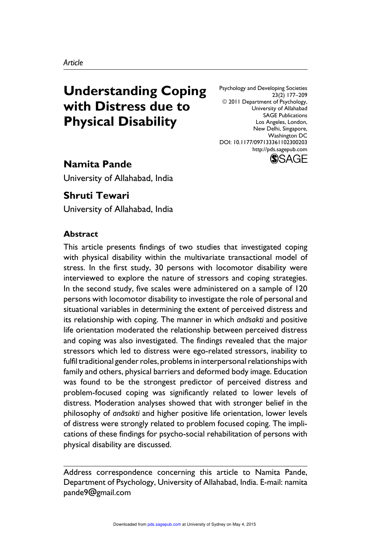# **Understanding Coping with Distress due to Physical Disability**

Psychology and Developing Societies 23(2) 177–209 © 2011 Department of Psychology, University of Allahabad SAGE Publications Los Angeles, London, New Delhi, Singapore, Washington DC DOI: 10.1177/097133361102300203 http://pds.sagepub.com



# **Namita Pande**

University of Allahabad, India

# **Shruti Tewari**

University of Allahabad, India

# **Abstract**

This article presents findings of two studies that investigated coping with physical disability within the multivariate transactional model of stress. In the first study, 30 persons with locomotor disability were interviewed to explore the nature of stressors and coping strategies. In the second study, five scales were administered on a sample of 120 persons with locomotor disability to investigate the role of personal and situational variables in determining the extent of perceived distress and its relationship with coping. The manner in which *anāsakti* and positive life orientation moderated the relationship between perceived distress and coping was also investigated. The findings revealed that the major stressors which led to distress were ego-related stressors, inability to fulfil traditional gender roles, problems in interpersonal relationships with family and others, physical barriers and deformed body image. Education was found to be the strongest predictor of perceived distress and problem-focused coping was significantly related to lower levels of distress. Moderation analyses showed that with stronger belief in the philosophy of *anāsakti* and higher positive life orientation, lower levels of distress were strongly related to problem focused coping. The implications of these findings for psycho-social rehabilitation of persons with physical disability are discussed.

*Environment and Urbanization ASIA, 1, 1 (2010): vii–xii* Address correspondence concerning this article to Namita Pande, Department of Psychology, University of Allahabad, India. E-mail: namita pande9@gmail.com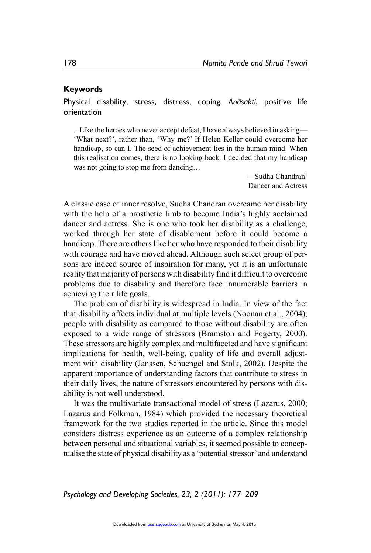#### **Keywords**

Physical disability, stress, distress, coping, *Anāsakti*, positive life orientation

*...*Like the heroes who never accept defeat, I have always believed in asking— 'What next?', rather than, 'Why me?' If Helen Keller could overcome her handicap, so can I. The seed of achievement lies in the human mind. When this realisation comes, there is no looking back. I decided that my handicap was not going to stop me from dancing...

> —Sudha Chandran<sup>1</sup> Dancer and Actress

A classic case of inner resolve, Sudha Chandran overcame her disability with the help of a prosthetic limb to become India's highly acclaimed dancer and actress. She is one who took her disability as a challenge, worked through her state of disablement before it could become a handicap. There are others like her who have responded to their disability with courage and have moved ahead. Although such select group of persons are indeed source of inspiration for many, yet it is an unfortunate reality that majority of persons with disability find it difficult to overcome problems due to disability and therefore face innumerable barriers in achieving their life goals.

The problem of disability is widespread in India. In view of the fact that disability affects individual at multiple levels (Noonan et al., 2004), people with disability as compared to those without disability are often exposed to a wide range of stressors (Bramston and Fogerty, 2000). These stressors are highly complex and multifaceted and have significant implications for health, well-being, quality of life and overall adjustment with disability (Janssen, Schuengel and Stolk, 2002). Despite the apparent importance of understanding factors that contribute to stress in their daily lives, the nature of stressors encountered by persons with disability is not well understood.

It was the multivariate transactional model of stress (Lazarus, 2000; Lazarus and Folkman, 1984) which provided the necessary theoretical framework for the two studies reported in the article. Since this model considers distress experience as an outcome of a complex relationship between personal and situational variables, it seemed possible to conceptualise the state of physical disability as a 'potential stressor' and understand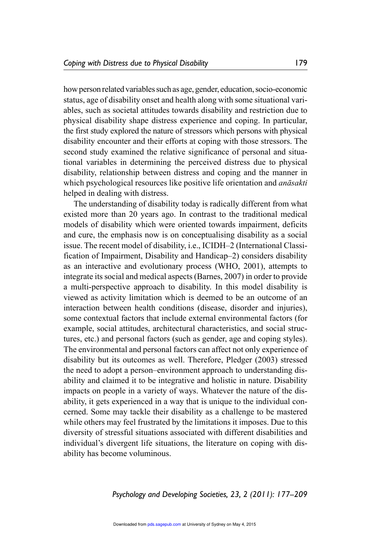how person related variables such as age, gender, education, socio-economic status, age of disability onset and health along with some situational variables, such as societal attitudes towards disability and restriction due to physical disability shape distress experience and coping. In particular, the first study explored the nature of stressors which persons with physical disability encounter and their efforts at coping with those stressors. The second study examined the relative significance of personal and situational variables in determining the perceived distress due to physical disability, relationship between distress and coping and the manner in which psychological resources like positive life orientation and *anāsakti* helped in dealing with distress.

The understanding of disability today is radically different from what existed more than 20 years ago. In contrast to the traditional medical models of disability which were oriented towards impairment, deficits and cure, the emphasis now is on conceptualising disability as a social issue. The recent model of disability, i.e., ICIDH–2 (International Classification of Impairment, Disability and Handicap–2) considers disability as an interactive and evolutionary process (WHO, 2001), attempts to integrate its social and medical aspects (Barnes, 2007) in order to provide a multi-perspective approach to disability. In this model disability is viewed as activity limitation which is deemed to be an outcome of an interaction between health conditions (disease, disorder and injuries), some contextual factors that include external environmental factors (for example, social attitudes, architectural characteristics, and social structures, etc.) and personal factors (such as gender, age and coping styles). The environmental and personal factors can affect not only experience of disability but its outcomes as well. Therefore, Pledger (2003) stressed the need to adopt a person–environment approach to understanding disability and claimed it to be integrative and holistic in nature. Disability impacts on people in a variety of ways. Whatever the nature of the disability, it gets experienced in a way that is unique to the individual concerned. Some may tackle their disability as a challenge to be mastered while others may feel frustrated by the limitations it imposes. Due to this diversity of stressful situations associated with different disabilities and individual's divergent life situations, the literature on coping with disability has become voluminous.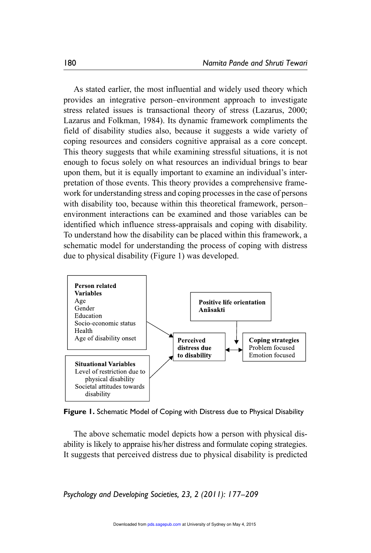As stated earlier, the most influential and widely used theory which provides an integrative person–environment approach to investigate stress related issues is transactional theory of stress (Lazarus, 2000; Lazarus and Folkman, 1984). Its dynamic framework compliments the field of disability studies also, because it suggests a wide variety of coping resources and considers cognitive appraisal as a core concept. This theory suggests that while examining stressful situations, it is not enough to focus solely on what resources an individual brings to bear upon them, but it is equally important to examine an individual's interpretation of those events. This theory provides a comprehensive framework for understanding stress and coping processes in the case of persons with disability too, because within this theoretical framework, person– environment interactions can be examined and those variables can be identified which influence stress-appraisals and coping with disability. To understand how the disability can be placed within this framework, a schematic model for understanding the process of coping with distress due to physical disability (Figure 1) was developed.



**Figure 1.** Schematic Model of Coping with Distress due to Physical Disability

The above schematic model depicts how a person with physical disability is likely to appraise his/her distress and formulate coping strategies. It suggests that perceived distress due to physical disability is predicted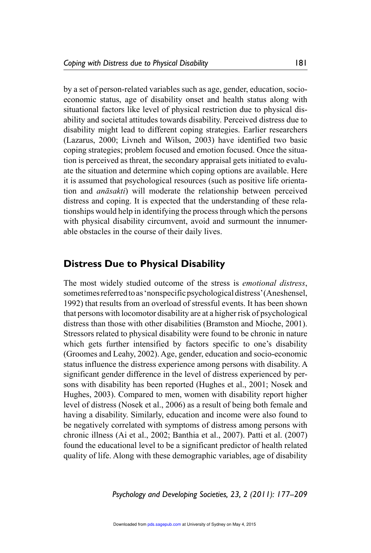by a set of person-related variables such as age, gender, education, socioeconomic status, age of disability onset and health status along with situational factors like level of physical restriction due to physical disability and societal attitudes towards disability. Perceived distress due to disability might lead to different coping strategies. Earlier researchers (Lazarus, 2000; Livneh and Wilson, 2003) have identified two basic coping strategies; problem focused and emotion focused. Once the situation is perceived as threat, the secondary appraisal gets initiated to evaluate the situation and determine which coping options are available. Here it is assumed that psychological resources (such as positive life orientation and *anāsakti*) will moderate the relationship between perceived distress and coping. It is expected that the understanding of these relationships would help in identifying the process through which the persons with physical disability circumvent, avoid and surmount the innumerable obstacles in the course of their daily lives.

## **Distress Due to Physical Disability**

The most widely studied outcome of the stress is *emotional distress*, sometimes referred to as 'nonspecific psychological distress' (Aneshensel, 1992) that results from an overload of stressful events. It has been shown that persons with locomotor disability are at a higher risk of psychological distress than those with other disabilities (Bramston and Mioche, 2001). Stressors related to physical disability were found to be chronic in nature which gets further intensified by factors specific to one's disability (Groomes and Leahy, 2002). Age, gender, education and socio-economic status influence the distress experience among persons with disability. A significant gender difference in the level of distress experienced by persons with disability has been reported (Hughes et al., 2001; Nosek and Hughes, 2003). Compared to men, women with disability report higher level of distress (Nosek et al., 2006) as a result of being both female and having a disability. Similarly, education and income were also found to be negatively correlated with symptoms of distress among persons with chronic illness (Ai et al., 2002; Banthia et al., 2007). Patti et al. (2007) found the educational level to be a significant predictor of health related quality of life. Along with these demographic variables, age of disability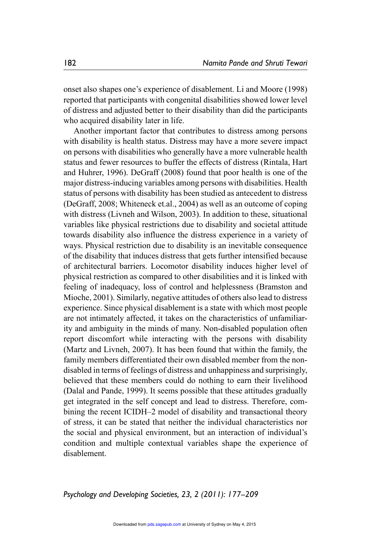onset also shapes one's experience of disablement. Li and Moore (1998) reported that participants with congenital disabilities showed lower level of distress and adjusted better to their disability than did the participants who acquired disability later in life.

Another important factor that contributes to distress among persons with disability is health status. Distress may have a more severe impact on persons with disabilities who generally have a more vulnerable health status and fewer resources to buffer the effects of distress (Rintala, Hart and Huhrer, 1996). DeGraff (2008) found that poor health is one of the major distress-inducing variables among persons with disabilities. Health status of persons with disability has been studied as antecedent to distress (DeGraff, 2008; Whiteneck et.al., 2004) as well as an outcome of coping with distress (Livneh and Wilson, 2003). In addition to these, situational variables like physical restrictions due to disability and societal attitude towards disability also influence the distress experience in a variety of ways. Physical restriction due to disability is an inevitable consequence of the disability that induces distress that gets further intensified because of architectural barriers. Locomotor disability induces higher level of physical restriction as compared to other disabilities and it is linked with feeling of inadequacy, loss of control and helplessness (Bramston and Mioche, 2001).Similarly, negative attitudes of others also lead to distress experience. Since physical disablement is a state with which most people are not intimately affected, it takes on the characteristics of unfamiliarity and ambiguity in the minds of many. Non-disabled population often report discomfort while interacting with the persons with disability (Martz and Livneh, 2007). It has been found that within the family, the family members differentiated their own disabled member from the nondisabled in terms of feelings of distress and unhappiness and surprisingly, believed that these members could do nothing to earn their livelihood (Dalal and Pande, 1999). It seems possible that these attitudes gradually get integrated in the self concept and lead to distress. Therefore, combining the recent ICIDH–2 model of disability and transactional theory of stress, it can be stated that neither the individual characteristics nor the social and physical environment, but an interaction of individual's condition and multiple contextual variables shape the experience of disablement.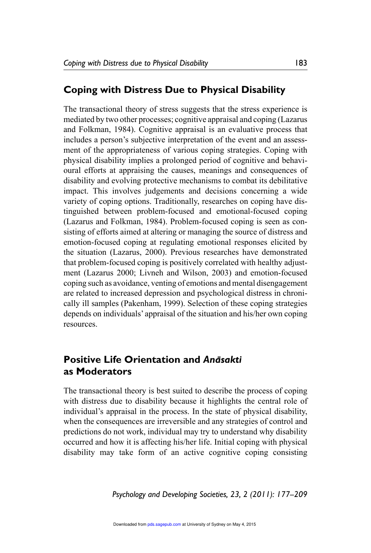### **Coping with Distress Due to Physical Disability**

The transactional theory of stress suggests that the stress experience is mediated by two other processes; cognitive appraisal and coping (Lazarus and Folkman, 1984). Cognitive appraisal is an evaluative process that includes a person's subjective interpretation of the event and an assessment of the appropriateness of various coping strategies. Coping with physical disability implies a prolonged period of cognitive and behavioural efforts at appraising the causes, meanings and consequences of disability and evolving protective mechanisms to combat its debilitative impact. This involves judgements and decisions concerning a wide variety of coping options. Traditionally, researches on coping have distinguished between problem-focused and emotional-focused coping (Lazarus and Folkman, 1984). Problem-focused coping is seen as consisting of efforts aimed at altering or managing the source of distress and emotion-focused coping at regulating emotional responses elicited by the situation (Lazarus, 2000). Previous researches have demonstrated that problem-focused coping is positively correlated with healthy adjustment (Lazarus 2000; Livneh and Wilson, 2003) and emotion-focused coping such as avoidance, venting of emotions and mental disengagement are related to increased depression and psychological distress in chronically ill samples (Pakenham, 1999). Selection of these coping strategies depends on individuals' appraisal of the situation and his/her own coping resources.

# **Positive Life Orientation and** *Anāsakti* **as Moderators**

The transactional theory is best suited to describe the process of coping with distress due to disability because it highlights the central role of individual's appraisal in the process. In the state of physical disability, when the consequences are irreversible and any strategies of control and predictions do not work, individual may try to understand why disability occurred and how it is affecting his/her life. Initial coping with physical disability may take form of an active cognitive coping consisting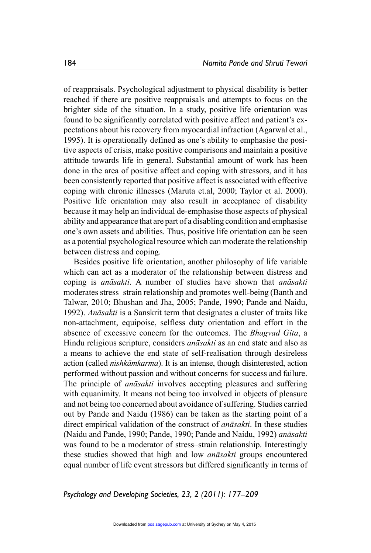of reappraisals. Psychological adjustment to physical disability is better reached if there are positive reappraisals and attempts to focus on the brighter side of the situation. In a study, positive life orientation was found to be significantly correlated with positive affect and patient's expectations about his recovery from myocardial infraction (Agarwal et al., 1995). It is operationally defined as one's ability to emphasise the positive aspects of crisis, make positive comparisons and maintain a positive attitude towards life in general. Substantial amount of work has been done in the area of positive affect and coping with stressors, and it has been consistently reported that positive affect is associated with effective coping with chronic illnesses (Maruta et.al, 2000; Taylor et al. 2000). Positive life orientation may also result in acceptance of disability because it may help an individual de-emphasise those aspects of physical ability and appearance that are part of a disabling condition and emphasise one's own assets and abilities. Thus, positive life orientation can be seen as a potential psychological resource which can moderate the relationship between distress and coping.

Besides positive life orientation, another philosophy of life variable which can act as a moderator of the relationship between distress and coping is *anāsakti*. A number of studies have shown that *anāsakti* moderates stress–strain relationship and promotes well-being (Banth and Talwar, 2010; Bhushan and Jha, 2005; Pande, 1990; Pande and Naidu, 1992). *Anāsakti* is a Sanskrit term that designates a cluster of traits like non-attachment, equipoise, selfless duty orientation and effort in the absence of excessive concern for the outcomes. The *Bhagvad Gita*, a Hindu religious scripture, considers *anāsakti* as an end state and also as a means to achieve the end state of self-realisation through desireless action (called *nishkāmkarma*). It is an intense, though disinterested, action performed without passion and without concerns for success and failure. The principle of *anāsakti* involves accepting pleasures and suffering with equanimity. It means not being too involved in objects of pleasure and not being too concerned about avoidance of suffering. Studies carried out by Pande and Naidu (1986) can be taken as the starting point of a direct empirical validation of the construct of *anāsakti*. In these studies (Naidu and Pande, 1990; Pande, 1990; Pande and Naidu, 1992) *anāsakti* was found to be a moderator of stress–strain relationship. Interestingly these studies showed that high and low *anāsakti* groups encountered equal number of life event stressors but differed significantly in terms of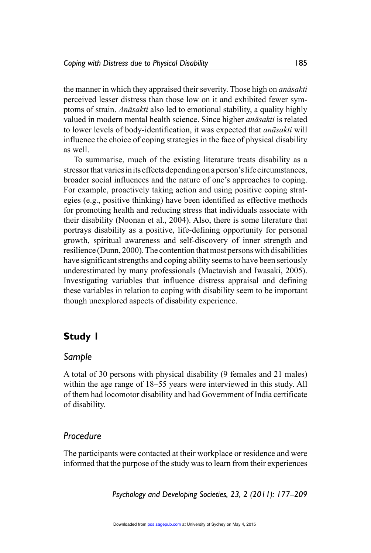the manner in which they appraised their severity. Those high on *anāsakti* perceived lesser distress than those low on it and exhibited fewer symptoms of strain. *Anāsakti* also led to emotional stability, a quality highly valued in modern mental health science. Since higher *anāsakti* is related to lower levels of body-identification, it was expected that *anāsakti* will influence the choice of coping strategies in the face of physical disability as well.

To summarise, much of the existing literature treats disability as a stressor that varies in its effects depending on a person's life circumstances, broader social influences and the nature of one's approaches to coping. For example, proactively taking action and using positive coping strategies (e.g., positive thinking) have been identified as effective methods for promoting health and reducing stress that individuals associate with their disability (Noonan et al., 2004). Also, there is some literature that portrays disability as a positive, life-defining opportunity for personal growth, spiritual awareness and self-discovery of inner strength and resilience (Dunn, 2000). The contention that most persons with disabilities have significant strengths and coping ability seems to have been seriously underestimated by many professionals (Mactavish and Iwasaki, 2005). Investigating variables that influence distress appraisal and defining these variables in relation to coping with disability seem to be important though unexplored aspects of disability experience.

## **Study 1**

### *Sample*

A total of 30 persons with physical disability (9 females and 21 males) within the age range of 18–55 years were interviewed in this study. All of them had locomotor disability and had Government of India certificate of disability.

### *Procedure*

The participants were contacted at their workplace or residence and were informed that the purpose of the study was to learn from their experiences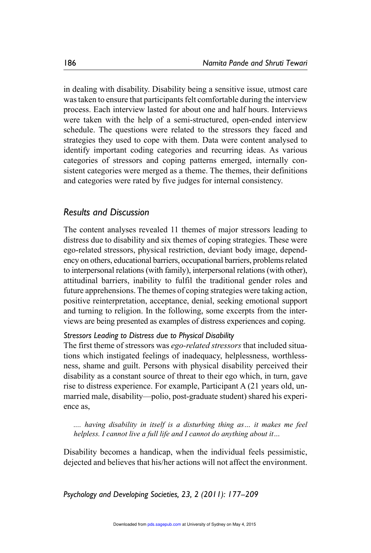in dealing with disability. Disability being a sensitive issue, utmost care was taken to ensure that participants felt comfortable during the interview process. Each interview lasted for about one and half hours. Interviews were taken with the help of a semi-structured, open-ended interview schedule. The questions were related to the stressors they faced and strategies they used to cope with them. Data were content analysed to identify important coding categories and recurring ideas. As various categories of stressors and coping patterns emerged, internally consistent categories were merged as a theme. The themes, their definitions and categories were rated by five judges for internal consistency.

### *Results and Discussion*

The content analyses revealed 11 themes of major stressors leading to distress due to disability and six themes of coping strategies. These were ego-related stressors, physical restriction, deviant body image, dependency on others, educational barriers, occupational barriers, problems related to interpersonal relations (with family), interpersonal relations (with other), attitudinal barriers, inability to fulfil the traditional gender roles and future apprehensions. The themes of coping strategies were taking action, positive reinterpretation, acceptance, denial, seeking emotional support and turning to religion. In the following, some excerpts from the interviews are being presented as examples of distress experiences and coping.

#### *Stressors Leading to Distress due to Physical Disability*

The first theme of stressors was *ego-related stressors* that included situations which instigated feelings of inadequacy, helplessness, worthlessness, shame and guilt. Persons with physical disability perceived their disability as a constant source of threat to their ego which, in turn, gave rise to distress experience. For example, Participant A (21 years old, unmarried male, disability—polio, post-graduate student) shared his experience as,

*.... having disability in itself is a disturbing thing as… it makes me feel helpless. I cannot live a full life and I cannot do anything about it…*

Disability becomes a handicap, when the individual feels pessimistic, dejected and believes that his/her actions will not affect the environment.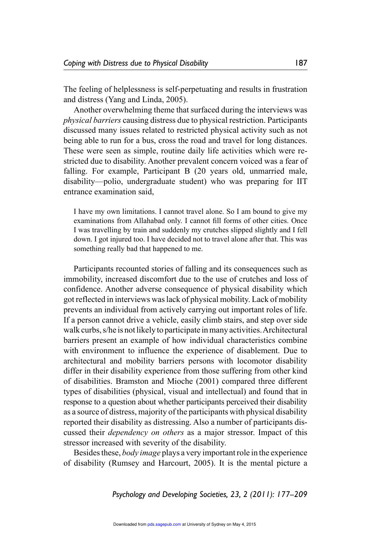The feeling of helplessness is self-perpetuating and results in frustration and distress (Yang and Linda, 2005).

Another overwhelming theme that surfaced during the interviews was *physical barriers* causing distress due to physical restriction. Participants discussed many issues related to restricted physical activity such as not being able to run for a bus, cross the road and travel for long distances. These were seen as simple, routine daily life activities which were restricted due to disability. Another prevalent concern voiced was a fear of falling. For example, Participant B (20 years old, unmarried male, disability—polio, undergraduate student) who was preparing for IIT entrance examination said,

I have my own limitations. I cannot travel alone. So I am bound to give my examinations from Allahabad only. I cannot fill forms of other cities. Once I was travelling by train and suddenly my crutches slipped slightly and I fell down. I got injured too. I have decided not to travel alone after that. This was something really bad that happened to me.

Participants recounted stories of falling and its consequences such as immobility, increased discomfort due to the use of crutches and loss of confidence. Another adverse consequence of physical disability which got reflected in interviews was lack of physical mobility. Lack of mobility prevents an individual from actively carrying out important roles of life. If a person cannot drive a vehicle, easily climb stairs, and step over side walk curbs, s/he is not likely to participate in many activities. Architectural barriers present an example of how individual characteristics combine with environment to influence the experience of disablement. Due to architectural and mobility barriers persons with locomotor disability differ in their disability experience from those suffering from other kind of disabilities. Bramston and Mioche (2001) compared three different types of disabilities (physical, visual and intellectual) and found that in response to a question about whether participants perceived their disability as a source of distress, majority of the participants with physical disability reported their disability as distressing. Also a number of participants discussed their *dependency on others* as a major stressor. Impact of this stressor increased with severity of the disability.

Besides these, *body image* plays a very important role in the experience of disability (Rumsey and Harcourt, 2005). It is the mental picture a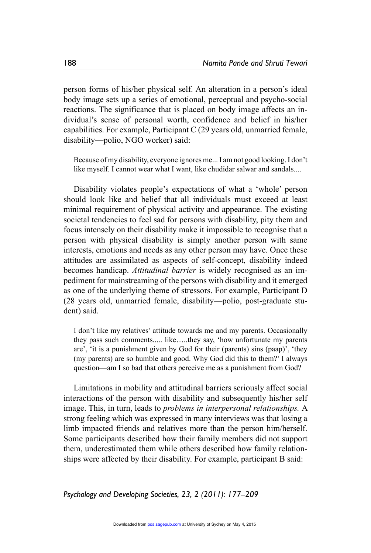person forms of his/her physical self. An alteration in a person's ideal body image sets up a series of emotional, perceptual and psycho-social reactions. The significance that is placed on body image affects an individual's sense of personal worth, confidence and belief in his/her capabilities. For example, Participant C (29 years old, unmarried female, disability—polio, NGO worker) said:

Because of my disability, everyone ignores me... I am not good looking. I don't like myself. I cannot wear what I want, like chudidar salwar and sandals....

Disability violates people's expectations of what a 'whole' person should look like and belief that all individuals must exceed at least minimal requirement of physical activity and appearance. The existing societal tendencies to feel sad for persons with disability, pity them and focus intensely on their disability make it impossible to recognise that a person with physical disability is simply another person with same interests, emotions and needs as any other person may have. Once these attitudes are assimilated as aspects of self-concept, disability indeed becomes handicap. *Attitudinal barrier* is widely recognised as an impediment for mainstreaming of the persons with disability and it emerged as one of the underlying theme of stressors. For example, Participant D (28 years old, unmarried female, disability—polio, post-graduate student) said.

I don't like my relatives' attitude towards me and my parents. Occasionally they pass such comments..... like…..they say, 'how unfortunate my parents are', 'it is a punishment given by God for their (parents) sins (paap)', 'they (my parents) are so humble and good. Why God did this to them?' I always question—am I so bad that others perceive me as a punishment from God?

Limitations in mobility and attitudinal barriers seriously affect social interactions of the person with disability and subsequently his/her self image. This, in turn, leads to *problems in interpersonal relationships.* A strong feeling which was expressed in many interviews was that losing a limb impacted friends and relatives more than the person him/herself. Some participants described how their family members did not support them, underestimated them while others described how family relationships were affected by their disability. For example, participant B said: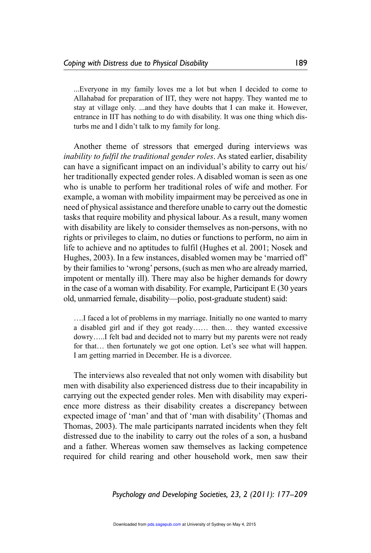...Everyone in my family loves me a lot but when I decided to come to Allahabad for preparation of IIT, they were not happy. They wanted me to stay at village only. ...and they have doubts that I can make it. However, entrance in IIT has nothing to do with disability. It was one thing which disturbs me and I didn't talk to my family for long.

Another theme of stressors that emerged during interviews was *inability to fulfil the traditional gender roles*. As stated earlier, disability can have a significant impact on an individual's ability to carry out his/ her traditionally expected gender roles. A disabled woman is seen as one who is unable to perform her traditional roles of wife and mother. For example, a woman with mobility impairment may be perceived as one in need of physical assistance and therefore unable to carry out the domestic tasks that require mobility and physical labour. As a result, many women with disability are likely to consider themselves as non-persons, with no rights or privileges to claim, no duties or functions to perform, no aim in life to achieve and no aptitudes to fulfil (Hughes et al. 2001; Nosek and Hughes, 2003). In a few instances, disabled women may be 'married off' by their families to 'wrong' persons, (such as men who are already married, impotent or mentally ill). There may also be higher demands for dowry in the case of a woman with disability. For example, Participant E (30 years old, unmarried female, disability—polio, post-graduate student) said:

….I faced a lot of problems in my marriage. Initially no one wanted to marry a disabled girl and if they got ready…… then… they wanted excessive dowry…..I felt bad and decided not to marry but my parents were not ready for that… then fortunately we got one option. Let's see what will happen. I am getting married in December. He is a divorcee.

The interviews also revealed that not only women with disability but men with disability also experienced distress due to their incapability in carrying out the expected gender roles. Men with disability may experience more distress as their disability creates a discrepancy between expected image of 'man' and that of 'man with disability' (Thomas and Thomas, 2003). The male participants narrated incidents when they felt distressed due to the inability to carry out the roles of a son, a husband and a father. Whereas women saw themselves as lacking competence required for child rearing and other household work, men saw their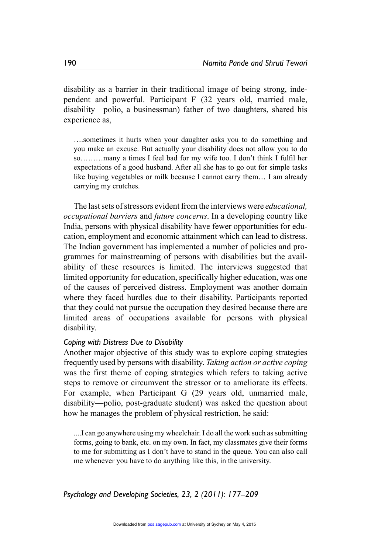disability as a barrier in their traditional image of being strong, independent and powerful. Participant F (32 years old, married male, disability—polio, a businessman) father of two daughters, shared his experience as,

….sometimes it hurts when your daughter asks you to do something and you make an excuse. But actually your disability does not allow you to do so.........many a times I feel bad for my wife too. I don't think I fulfil her expectations of a good husband. After all she has to go out for simple tasks like buying vegetables or milk because I cannot carry them… I am already carrying my crutches.

The last sets of stressors evident from the interviews were *educational, occupational barriers* and *future concerns*. In a developing country like India, persons with physical disability have fewer opportunities for education, employment and economic attainment which can lead to distress. The Indian government has implemented a number of policies and programmes for mainstreaming of persons with disabilities but the availability of these resources is limited. The interviews suggested that limited opportunity for education, specifically higher education, was one of the causes of perceived distress. Employment was another domain where they faced hurdles due to their disability. Participants reported that they could not pursue the occupation they desired because there are limited areas of occupations available for persons with physical disability.

#### *Coping with Distress Due to Disability*

Another major objective of this study was to explore coping strategies frequently used by persons with disability. *Taking action or active coping* was the first theme of coping strategies which refers to taking active steps to remove or circumvent the stressor or to ameliorate its effects. For example, when Participant G (29 years old, unmarried male, disability—polio, post-graduate student) was asked the question about how he manages the problem of physical restriction, he said:

....I can go anywhere using my wheelchair. I do all the work such as submitting forms, going to bank, etc. on my own. In fact, my classmates give their forms to me for submitting as I don't have to stand in the queue. You can also call me whenever you have to do anything like this, in the university.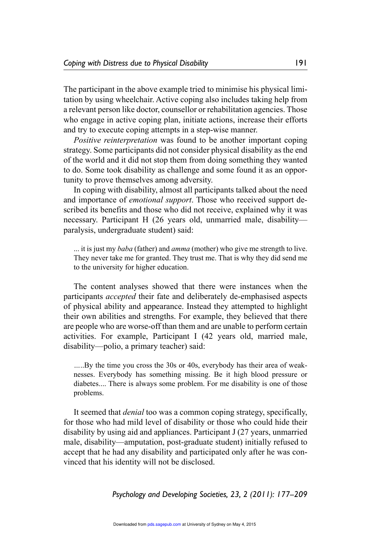The participant in the above example tried to minimise his physical limitation by using wheelchair. Active coping also includes taking help from a relevant person like doctor, counsellor or rehabilitation agencies. Those who engage in active coping plan, initiate actions, increase their efforts and try to execute coping attempts in a step-wise manner.

*Positive reinterpretation* was found to be another important coping strategy. Some participants did not consider physical disability as the end of the world and it did not stop them from doing something they wanted to do. Some took disability as challenge and some found it as an opportunity to prove themselves among adversity.

In coping with disability, almost all participants talked about the need and importance of *emotional support*. Those who received support described its benefits and those who did not receive, explained why it was necessary. Participant H (26 years old, unmarried male, disability paralysis, undergraduate student) said:

... it is just my *baba* (father) and *amma* (mother) who give me strength to live. They never take me for granted. They trust me. That is why they did send me to the university for higher education.

The content analyses showed that there were instances when the participants *accepted* their fate and deliberately de-emphasised aspects of physical ability and appearance. Instead they attempted to highlight their own abilities and strengths. For example, they believed that there are people who are worse-off than them and are unable to perform certain activities. For example, Participant I (42 years old, married male, disability—polio, a primary teacher) said:

*…*..By the time you cross the 30s or 40s, everybody has their area of weaknesses. Everybody has something missing. Be it high blood pressure or diabetes.... There is always some problem. For me disability is one of those problems.

It seemed that *denial* too was a common coping strategy, specifically, for those who had mild level of disability or those who could hide their disability by using aid and appliances. Participant J (27 years, unmarried male, disability—amputation, post-graduate student) initially refused to accept that he had any disability and participated only after he was convinced that his identity will not be disclosed.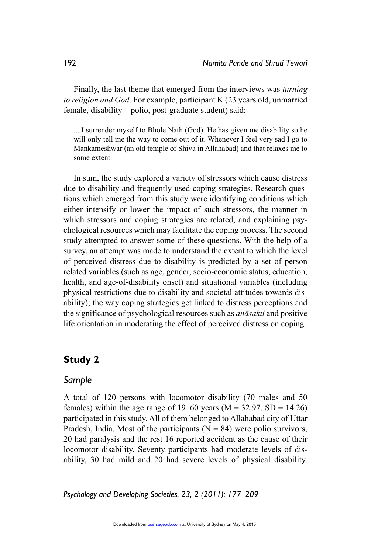Finally, the last theme that emerged from the interviews was *turning to religion and God*. For example, participant K (23 years old, unmarried female, disability—polio, post-graduate student) said:

....I surrender myself to Bhole Nath (God). He has given me disability so he will only tell me the way to come out of it. Whenever I feel very sad I go to Mankameshwar (an old temple of Shiva in Allahabad) and that relaxes me to some extent.

In sum, the study explored a variety of stressors which cause distress due to disability and frequently used coping strategies. Research questions which emerged from this study were identifying conditions which either intensify or lower the impact of such stressors, the manner in which stressors and coping strategies are related, and explaining psychological resources which may facilitate the coping process. The second study attempted to answer some of these questions. With the help of a survey, an attempt was made to understand the extent to which the level of perceived distress due to disability is predicted by a set of person related variables (such as age, gender, socio-economic status, education, health, and age-of-disability onset) and situational variables (including physical restrictions due to disability and societal attitudes towards disability); the way coping strategies get linked to distress perceptions and the significance of psychological resources such as *anāsakti* and positive life orientation in moderating the effect of perceived distress on coping.

# **Study 2**

### *Sample*

A total of 120 persons with locomotor disability (70 males and 50 females) within the age range of 19–60 years ( $M = 32.97$ ,  $SD = 14.26$ ) participated in this study. All of them belonged to Allahabad city of Uttar Pradesh, India. Most of the participants  $(N = 84)$  were polio survivors, 20 had paralysis and the rest 16 reported accident as the cause of their locomotor disability. Seventy participants had moderate levels of disability, 30 had mild and 20 had severe levels of physical disability.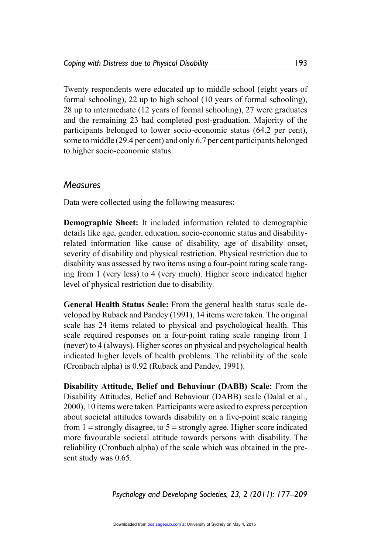Twenty respondents were educated up to middle school (eight years of formal schooling), 22 up to high school (10 years of formal schooling), 28 up to intermediate (12 years of formal schooling), 27 were graduates and the remaining 23 had completed post-graduation. Majority of the participants belonged to lower socio-economic status (64.2 per cent), some to middle (29.4 per cent) and only 6.7 per cent participants belonged to higher socio-economic status.

### *Measures*

Data were collected using the following measures:

**Demographic Sheet:** It included information related to demographic details like age, gender, education, socio-economic status and disabilityrelated information like cause of disability, age of disability onset, severity of disability and physical restriction. Physical restriction due to disability was assessed by two items using a four-point rating scale ranging from 1 (very less) to 4 (very much). Higher score indicated higher level of physical restriction due to disability.

**General Health Status Scale:** From the general health status scale developed by Ruback and Pandey (1991), 14 items were taken. The original scale has 24 items related to physical and psychological health. This scale required responses on a four-point rating scale ranging from 1 (never) to 4 (always). Higher scores on physical and psychological health indicated higher levels of health problems. The reliability of the scale (Cronbach alpha) is 0.92 (Ruback and Pandey, 1991).

**Disability Attitude, Belief and Behaviour (DABB) Scale:** From the Disability Attitudes, Belief and Behaviour (DABB) scale (Dalal et al., 2000), 10 items were taken. Participants were asked to express perception about societal attitudes towards disability on a five-point scale ranging from  $1 =$  strongly disagree, to  $5 =$  strongly agree. Higher score indicated more favourable societal attitude towards persons with disability. The reliability (Cronbach alpha) of the scale which was obtained in the present study was 0.65.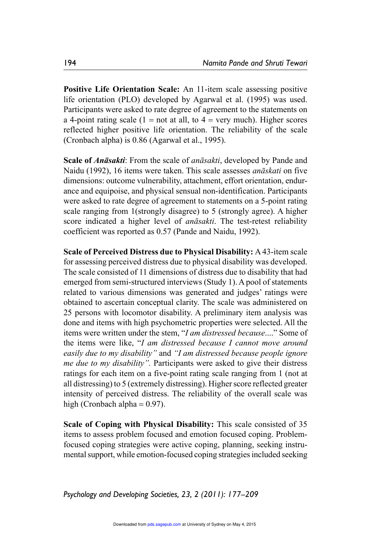**Positive Life Orientation Scale:** An 11-item scale assessing positive life orientation (PLO) developed by Agarwal et al. (1995) was used. Participants were asked to rate degree of agreement to the statements on a 4-point rating scale  $(1 = not at all, to 4 = very much)$ . Higher scores reflected higher positive life orientation. The reliability of the scale (Cronbach alpha) is 0.86 (Agarwal et al., 1995).

**Scale of** *Anāsakti*: From the scale of *anāsakti*, developed by Pande and Naidu (1992), 16 items were taken. This scale assesses *anāskati* on five dimensions: outcome vulnerability, attachment, effort orientation, endurance and equipoise, and physical sensual non-identification. Participants were asked to rate degree of agreement to statements on a 5-point rating scale ranging from 1(strongly disagree) to 5 (strongly agree). A higher score indicated a higher level of *anāsakti*. The test-retest reliability coefficient was reported as 0.57 (Pande and Naidu, 1992).

**Scale of Perceived Distress due to Physical Disability:** A 43-item scale for assessing perceived distress due to physical disability was developed. The scale consisted of 11 dimensions of distress due to disability that had emerged from semi-structured interviews (Study 1). A pool of statements related to various dimensions was generated and judges' ratings were obtained to ascertain conceptual clarity. The scale was administered on 25 persons with locomotor disability. A preliminary item analysis was done and items with high psychometric properties were selected. All the items were written under the stem, "*I am distressed because*...." Some of the items were like, "*I am distressed because I cannot move around easily due to my disability"* and *"I am distressed because people ignore me due to my disability".* Participants were asked to give their distress ratings for each item on a five-point rating scale ranging from 1 (not at all distressing) to 5 (extremely distressing). Higher score reflected greater intensity of perceived distress. The reliability of the overall scale was high (Cronbach alpha  $= 0.97$ ).

**Scale of Coping with Physical Disability:** This scale consisted of 35 items to assess problem focused and emotion focused coping. Problemfocused coping strategies were active coping, planning, seeking instrumental support, while emotion-focused coping strategies included seeking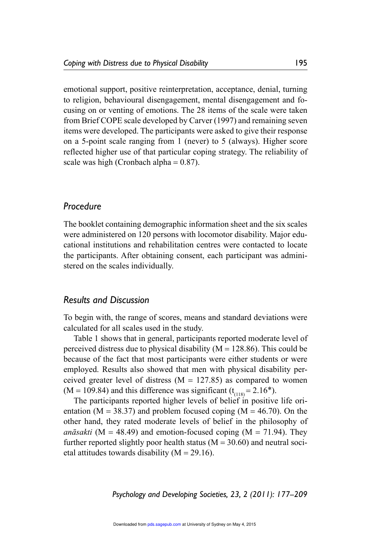emotional support, positive reinterpretation, acceptance, denial, turning to religion, behavioural disengagement, mental disengagement and focusing on or venting of emotions. The 28 items of the scale were taken from Brief COPE scale developed by Carver (1997) and remaining seven items were developed. The participants were asked to give their response on a 5-point scale ranging from 1 (never) to 5 (always). Higher score reflected higher use of that particular coping strategy. The reliability of scale was high (Cronbach alpha  $= 0.87$ ).

### *Procedure*

The booklet containing demographic information sheet and the six scales were administered on 120 persons with locomotor disability. Major educational institutions and rehabilitation centres were contacted to locate the participants. After obtaining consent, each participant was administered on the scales individually.

### *Results and Discussion*

To begin with, the range of scores, means and standard deviations were calculated for all scales used in the study.

Table 1 shows that in general, participants reported moderate level of perceived distress due to physical disability ( $M = 128.86$ ). This could be because of the fact that most participants were either students or were employed. Results also showed that men with physical disability perceived greater level of distress  $(M = 127.85)$  as compared to women (M = 109.84) and this difference was significant ( $t_{(118)}$  = 2.16<sup>\*</sup>).

The participants reported higher levels of belief in positive life orientation ( $M = 38.37$ ) and problem focused coping ( $M = 46.70$ ). On the other hand, they rated moderate levels of belief in the philosophy of *an* $\bar{a}$ *sakti* (M = 48.49) and emotion-focused coping (M = 71.94). They further reported slightly poor health status ( $M = 30.60$ ) and neutral societal attitudes towards disability  $(M = 29.16)$ .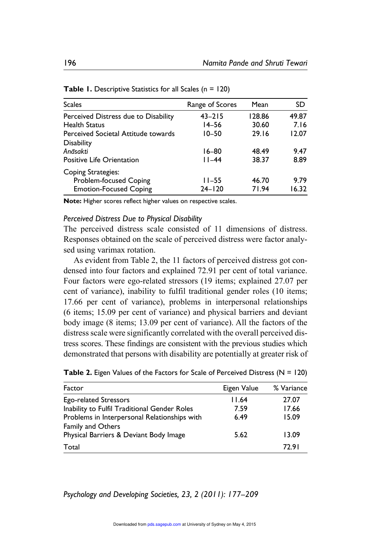| <b>Scales</b>                              | Range of Scores | Mean   | SD    |
|--------------------------------------------|-----------------|--------|-------|
| Perceived Distress due to Disability       | $43 - 215$      | 128.86 | 49.87 |
| <b>Health Status</b>                       | $14 - 56$       | 30.60  | 7.16  |
| <b>Perceived Societal Attitude towards</b> | $10 - 50$       | 29.16  | 12.07 |
| <b>Disability</b>                          |                 |        |       |
| Anāsakti                                   | $16 - 80$       | 48.49  | 9.47  |
| Positive Life Orientation                  | $ $ $ -44$      | 38.37  | 8.89  |
| Coping Strategies:                         |                 |        |       |
| Problem-focused Coping                     | $11 - 55$       | 46.70  | 9.79  |
| <b>Emotion-Focused Coping</b>              | $24 - 120$      | 71.94  | 16.32 |

**Table 1.** Descriptive Statistics for all Scales (n = 120)

**Note:** Higher scores reflect higher values on respective scales.

#### *Perceived Distress Due to Physical Disability*

The perceived distress scale consisted of 11 dimensions of distress. Responses obtained on the scale of perceived distress were factor analysed using varimax rotation.

As evident from Table 2, the 11 factors of perceived distress got condensed into four factors and explained 72.91 per cent of total variance. Four factors were ego-related stressors (19 items; explained 27.07 per cent of variance), inability to fulfil traditional gender roles (10 items; 17.66 per cent of variance), problems in interpersonal relationships (6 items; 15.09 per cent of variance) and physical barriers and deviant body image (8 items; 13.09 per cent of variance). All the factors of the distress scale were significantly correlated with the overall perceived distress scores. These findings are consistent with the previous studies which demonstrated that persons with disability are potentially at greater risk of

| Table 2. Eigen Values of the Factors for Scale of Perceived Distress ( $N = 120$ ) |  |  |  |  |  |  |  |
|------------------------------------------------------------------------------------|--|--|--|--|--|--|--|
|------------------------------------------------------------------------------------|--|--|--|--|--|--|--|

| Factor                                       | Eigen Value | % Variance |
|----------------------------------------------|-------------|------------|
| Ego-related Stressors                        | 11.64       | 27.07      |
| Inability to Fulfil Traditional Gender Roles | 7.59        | 17.66      |
| Problems in Interpersonal Relationships with | 6.49        | 15.09      |
| <b>Family and Others</b>                     |             |            |
| Physical Barriers & Deviant Body Image       | 5.62        | 13.09      |
| Total                                        |             | 72.91      |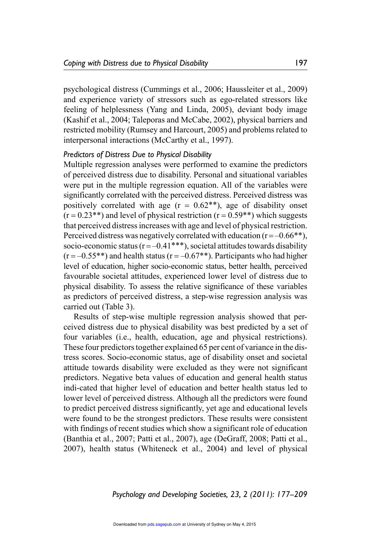psychological distress (Cummings et al., 2006; Haussleiter et al., 2009) and experience variety of stressors such as ego-related stressors like feeling of helplessness (Yang and Linda, 2005), deviant body image (Kashif et al., 2004; Taleporas and McCabe, 2002), physical barriers and restricted mobility (Rumsey and Harcourt, 2005) and problems related to interpersonal interactions (McCarthy et al., 1997).

#### *Predictors of Distress Due to Physical Disability*

Multiple regression analyses were performed to examine the predictors of perceived distress due to disability. Personal and situational variables were put in the multiple regression equation. All of the variables were significantly correlated with the perceived distress. Perceived distress was positively correlated with age ( $r = 0.62$ <sup>\*\*</sup>), age of disability onset  $(r = 0.23$ <sup>\*\*</sup>) and level of physical restriction  $(r = 0.59$ <sup>\*\*</sup>) which suggests that perceived distress increases with age and level of physical restriction. Perceived distress was negatively correlated with education ( $r = -0.66$ <sup>\*\*</sup>), socio-economic status ( $r = -0.41$ <sup>\*\*\*</sup>), societal attitudes towards disability  $(r = -0.55$ <sup>\*\*</sup>) and health status  $(r = -0.67$ <sup>\*\*</sup>). Participants who had higher level of education, higher socio-economic status, better health, perceived favourable societal attitudes, experienced lower level of distress due to physical disability. To assess the relative significance of these variables as predictors of perceived distress, a step-wise regression analysis was carried out (Table 3).

Results of step-wise multiple regression analysis showed that perceived distress due to physical disability was best predicted by a set of four variables (i.e., health, education, age and physical restrictions). These four predictors together explained 65 per cent of variance in the distress scores. Socio-economic status, age of disability onset and societal attitude towards disability were excluded as they were not significant predictors. Negative beta values of education and general health status indi-cated that higher level of education and better health status led to lower level of perceived distress. Although all the predictors were found to predict perceived distress significantly, yet age and educational levels were found to be the strongest predictors. These results were consistent with findings of recent studies which show a significant role of education (Banthia et al., 2007; Patti et al., 2007), age (DeGraff, 2008; Patti et al., 2007), health status (Whiteneck et al., 2004) and level of physical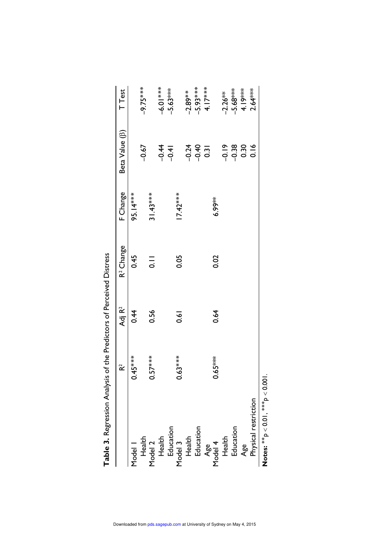|                             | ž         | Adj R <sup>2</sup> | R <sup>2</sup> Change | F Change   | Beta Value (B)             | T Test                   |
|-----------------------------|-----------|--------------------|-----------------------|------------|----------------------------|--------------------------|
| Model                       | $0.45***$ | 0.44               | 0.45                  | 95.14***   |                            |                          |
|                             |           |                    |                       |            | $-0.67$                    | $-9.75***$               |
|                             | $0.57***$ | 0.56               | $\bar{5}$             | $31.43***$ |                            |                          |
| Health<br>Model 2<br>Health |           |                    |                       |            |                            | $-6.01***$               |
|                             |           |                    |                       |            | $rac{4}{4}$ $rac{4}{9}$    | $-5.63***$               |
| Education<br>Model 3        | $0.63***$ | 0.61               | 0.05                  | $17.42***$ |                            |                          |
| Health<br>Education         |           |                    |                       |            |                            |                          |
|                             |           |                    |                       |            | <u>참</u><br>우 후 금<br>우 후 이 | $-2.89***$<br>$-5.93***$ |
|                             |           |                    |                       |            |                            | $4.17***$                |
| Age<br>Model 4              | $0.65***$ | 0.64               | 0.02                  | $6.99**$   |                            |                          |
| Health                      |           |                    |                       |            |                            | $-2.26**$                |
| Education                   |           |                    |                       |            | <u>၈ ၅</u><br>၁၀၁          | $-5.68***$               |
| Age                         |           |                    |                       |            | 0.30                       | 4.19***                  |
| Physical restriction        |           |                    |                       |            | 0.16                       | $2.64***$                |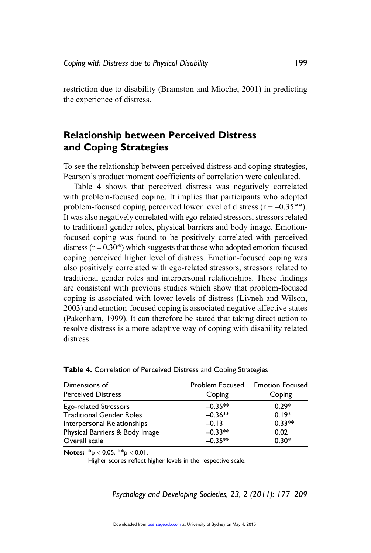# **Relationship between Perceived Distress and Coping Strategies**

To see the relationship between perceived distress and coping strategies, Pearson's product moment coefficients of correlation were calculated.

Table 4 shows that perceived distress was negatively correlated with problem-focused coping. It implies that participants who adopted problem-focused coping perceived lower level of distress  $(r = -0.35**)$ . It was also negatively correlated with ego-related stressors, stressors related to traditional gender roles, physical barriers and body image. Emotionfocused coping was found to be positively correlated with perceived distress  $(r = 0.30<sup>*</sup>)$  which suggests that those who adopted emotion-focused coping perceived higher level of distress. Emotion-focused coping was also positively correlated with ego-related stressors, stressors related to traditional gender roles and interpersonal relationships. These findings are consistent with previous studies which show that problem-focused coping is associated with lower levels of distress (Livneh and Wilson, 2003) and emotion-focused coping is associated negative affective states (Pakenham, 1999). It can therefore be stated that taking direct action to resolve distress is a more adaptive way of coping with disability related distress.

| Dimensions of                   | <b>Problem Focused</b> | <b>Emotion Focused</b> |
|---------------------------------|------------------------|------------------------|
| <b>Perceived Distress</b>       | Coping                 | Coping                 |
| Ego-related Stressors           | $-0.35**$              | $0.29*$                |
| <b>Traditional Gender Roles</b> | $-0.36**$              | $0.19*$                |
| Interpersonal Relationships     | $-0.13$                | $0.33**$               |
| Physical Barriers & Body Image  | $-0.33**$              | 0.02                   |
| Overall scale                   | $-0.35**$              | $0.30*$                |

**Table 4.** Correlation of Perceived Distress and Coping Strategies

**Notes:** \*p < 0.05, \*\*p < 0.01.

Higher scores reflect higher levels in the respective scale.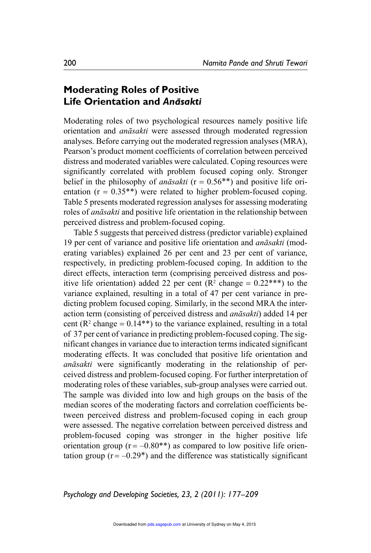# **Moderating Roles of Positive Life Orientation and** *Anāsakti*

Moderating roles of two psychological resources namely positive life orientation and *anāsakti* were assessed through moderated regression analyses. Before carrying out the moderated regression analyses (MRA), Pearson's product moment coefficients of correlation between perceived distress and moderated variables were calculated. Coping resources were significantly correlated with problem focused coping only. Stronger belief in the philosophy of *anāsakti* (r = 0.56∗∗) and positive life orientation ( $r = 0.35$ <sup>\*\*</sup>) were related to higher problem-focused coping. Table 5 presents moderated regression analyses for assessing moderating roles of *anāsakti* and positive life orientation in the relationship between perceived distress and problem-focused coping.

Table 5 suggests that perceived distress (predictor variable) explained 19 per cent of variance and positive life orientation and *anāsakti* (moderating variables) explained 26 per cent and 23 per cent of variance, respectively, in predicting problem-focused coping. In addition to the direct effects, interaction term (comprising perceived distress and positive life orientation) added 22 per cent ( $\mathbb{R}^2$  change = 0.22<sup>\*\*\*</sup>) to the variance explained, resulting in a total of 47 per cent variance in predicting problem focused coping. Similarly, in the second MRA the interaction term (consisting of perceived distress and *anāsakti*) added 14 per cent ( $\mathbb{R}^2$  change = 0.14\*\*) to the variance explained, resulting in a total of 37 per cent of variance in predicting problem-focused coping. The significant changes in variance due to interaction terms indicated significant moderating effects. It was concluded that positive life orientation and *anāsakti* were significantly moderating in the relationship of perceived distress and problem-focused coping. For further interpretation of moderating roles of these variables, sub-group analyses were carried out. The sample was divided into low and high groups on the basis of the median scores of the moderating factors and correlation coefficients between perceived distress and problem-focused coping in each group were assessed. The negative correlation between perceived distress and problem-focused coping was stronger in the higher positive life orientation group ( $r = -0.80^{**}$ ) as compared to low positive life orientation group ( $r = -0.29$ <sup>\*</sup>) and the difference was statistically significant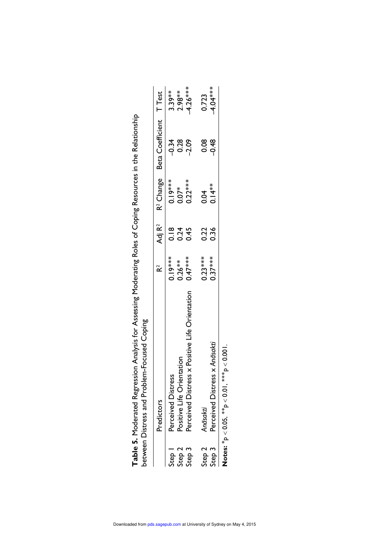| Predictors                                     | R <sup>2</sup>                                                                        | $Adj$ $R^2$    | R <sup>2</sup> Change | Beta Coefficient | T Test     |
|------------------------------------------------|---------------------------------------------------------------------------------------|----------------|-----------------------|------------------|------------|
| Perceived Distress                             | $0.19***$                                                                             | $\frac{8}{10}$ | $0.19***$             | $-0.34$          | $3.39***$  |
| Positive Life Orientation                      | $0.26***$                                                                             | 0.24           | $0.07*$               | 0.28             | $2.98***$  |
| Perceived Distress x Positive Life Orientation | $0.47***$                                                                             | 0.45           | $0.22***$             | $-2.09$          | $-4.26***$ |
| Anāsakti                                       | $0.23***$                                                                             | 0.22           | $\frac{4}{5}$         | 0.08             | 0.723      |
| Perceived Distress x Anasakti                  |                                                                                       | 0.36           | $0.14**$              | $-0.48$          | $-4.04***$ |
|                                                |                                                                                       |                |                       |                  |            |
|                                                | Notes: ${}^{*}\text{p}$ < 0.05, ${}^{**}\text{p}$ < 0.01, ${}^{***}\text{p}$ < 0.001. | $0.37***$      |                       |                  |            |

| )<br>ľ<br>$\ddot{\text{c}}$<br>I<br>J<br>֦֧֦֦֖֖֦֧֚֚֚֝֬֝֓֬֓֓֕֓֕֓֬֝֓֬֝֬֝֓֬֝֬֝֬֝֓֬֝֓֝ |                    |
|------------------------------------------------------------------------------------|--------------------|
|                                                                                    |                    |
|                                                                                    | l<br>í<br>١        |
| ;                                                                                  | 5                  |
|                                                                                    |                    |
| )                                                                                  |                    |
| $\ddot{\phantom{a}}$                                                               | ธ<br>23<br>-       |
| Ï<br>٦                                                                             | $\frac{1}{2}$<br>I |
|                                                                                    | :                  |
|                                                                                    |                    |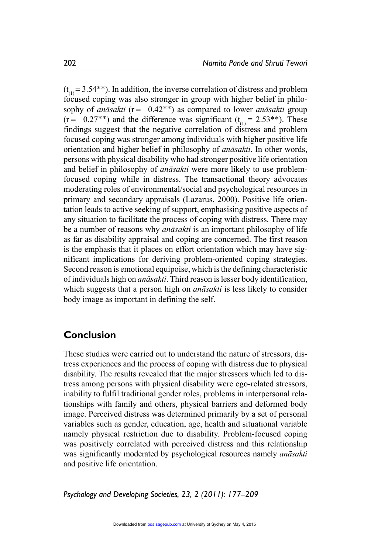$(t<sub>0</sub>)$  = 3.54<sup>\*\*</sup>). In addition, the inverse correlation of distress and problem focused coping was also stronger in group with higher belief in philosophy of *an* $\bar{a}$ *sakti* (r = –0.42<sup>\*\*</sup>) as compared to lower *an* $\bar{a}$ *sakti* group  $(r = -0.27$ <sup>\*\*</sup>) and the difference was significant (t<sub>ω</sub> = 2.53<sup>\*\*</sup>). These findings suggest that the negative correlation of distress and problem focused coping was stronger among individuals with higher positive life orientation and higher belief in philosophy of *anāsakti*. In other words, persons with physical disability who had stronger positive life orientation and belief in philosophy of *anāsakti* were more likely to use problemfocused coping while in distress. The transactional theory advocates moderating roles of environmental/social and psychological resources in primary and secondary appraisals (Lazarus, 2000). Positive life orientation leads to active seeking of support, emphasising positive aspects of any situation to facilitate the process of coping with distress. There may be a number of reasons why *anāsakti* is an important philosophy of life as far as disability appraisal and coping are concerned. The first reason is the emphasis that it places on effort orientation which may have significant implications for deriving problem-oriented coping strategies. Second reason is emotional equipoise, which is the defining characteristic of individuals high on *anāsakti*. Third reason is lesser body identification, which suggests that a person high on *anāsakti* is less likely to consider body image as important in defining the self.

### **Conclusion**

These studies were carried out to understand the nature of stressors, distress experiences and the process of coping with distress due to physical disability. The results revealed that the major stressors which led to distress among persons with physical disability were ego-related stressors, inability to fulfil traditional gender roles, problems in interpersonal relationships with family and others, physical barriers and deformed body image. Perceived distress was determined primarily by a set of personal variables such as gender, education, age, health and situational variable namely physical restriction due to disability. Problem-focused coping was positively correlated with perceived distress and this relationship was significantly moderated by psychological resources namely *anāsakti* and positive life orientation.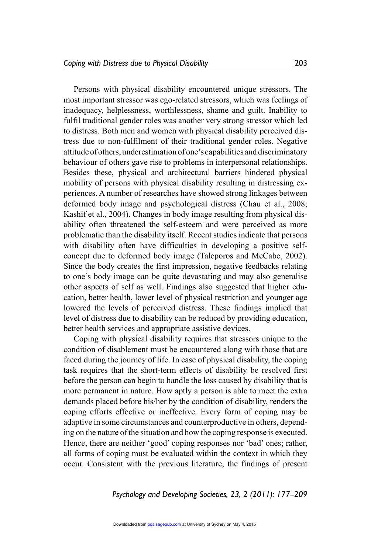Persons with physical disability encountered unique stressors. The most important stressor was ego-related stressors, which was feelings of inadequacy, helplessness, worthlessness, shame and guilt. Inability to fulfil traditional gender roles was another very strong stressor which led to distress. Both men and women with physical disability perceived distress due to non-fulfilment of their traditional gender roles. Negative attitude of others, underestimation of one's capabilities and discriminatory behaviour of others gave rise to problems in interpersonal relationships. Besides these, physical and architectural barriers hindered physical mobility of persons with physical disability resulting in distressing experiences. A number of researches have showed strong linkages between deformed body image and psychological distress (Chau et al., 2008; Kashif et al., 2004). Changes in body image resulting from physical disability often threatened the self-esteem and were perceived as more problematic than the disability itself. Recent studies indicate that persons with disability often have difficulties in developing a positive selfconcept due to deformed body image (Taleporos and McCabe, 2002). Since the body creates the first impression, negative feedbacks relating to one's body image can be quite devastating and may also generalise other aspects of self as well. Findings also suggested that higher education, better health, lower level of physical restriction and younger age lowered the levels of perceived distress. These findings implied that level of distress due to disability can be reduced by providing education, better health services and appropriate assistive devices.

Coping with physical disability requires that stressors unique to the condition of disablement must be encountered along with those that are faced during the journey of life. In case of physical disability, the coping task requires that the short-term effects of disability be resolved first before the person can begin to handle the loss caused by disability that is more permanent in nature. How aptly a person is able to meet the extra demands placed before his/her by the condition of disability, renders the coping efforts effective or ineffective. Every form of coping may be adaptive in some circumstances and counterproductive in others, depending on the nature of the situation and how the coping response is executed. Hence, there are neither 'good' coping responses nor 'bad' ones; rather, all forms of coping must be evaluated within the context in which they occur. Consistent with the previous literature, the findings of present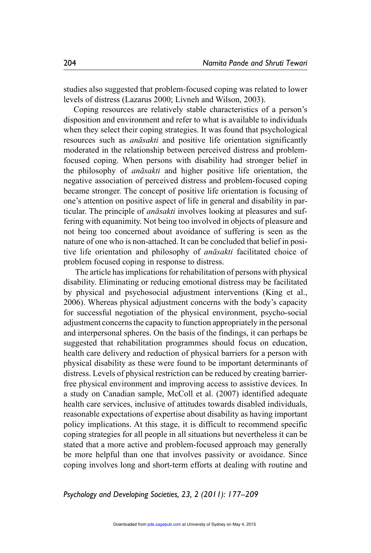studies also suggested that problem-focused coping was related to lower levels of distress (Lazarus 2000; Livneh and Wilson, 2003).

Coping resources are relatively stable characteristics of a person's disposition and environment and refer to what is available to individuals when they select their coping strategies. It was found that psychological resources such as *anāsakti* and positive life orientation significantly moderated in the relationship between perceived distress and problemfocused coping. When persons with disability had stronger belief in the philosophy of *anāsakti* and higher positive life orientation, the negative association of perceived distress and problem-focused coping became stronger. The concept of positive life orientation is focusing of one's attention on positive aspect of life in general and disability in particular. The principle of *anāsakti* involves looking at pleasures and suffering with equanimity. Not being too involved in objects of pleasure and not being too concerned about avoidance of suffering is seen as the nature of one who is non-attached. It can be concluded that belief in positive life orientation and philosophy of *anāsakti* facilitated choice of problem focused coping in response to distress.

The article has implications for rehabilitation of persons with physical disability. Eliminating or reducing emotional distress may be facilitated by physical and psychosocial adjustment interventions (King et al., 2006). Whereas physical adjustment concerns with the body's capacity for successful negotiation of the physical environment, psycho-social adjustment concerns the capacity to function appropriately in the personal and interpersonal spheres. On the basis of the findings, it can perhaps be suggested that rehabilitation programmes should focus on education, health care delivery and reduction of physical barriers for a person with physical disability as these were found to be important determinants of distress. Levels of physical restriction can be reduced by creating barrierfree physical environment and improving access to assistive devices. In a study on Canadian sample, McColl et al. (2007) identified adequate health care services, inclusive of attitudes towards disabled individuals, reasonable expectations of expertise about disability as having important policy implications. At this stage, it is difficult to recommend specific coping strategies for all people in all situations but nevertheless it can be stated that a more active and problem-focused approach may generally be more helpful than one that involves passivity or avoidance. Since coping involves long and short-term efforts at dealing with routine and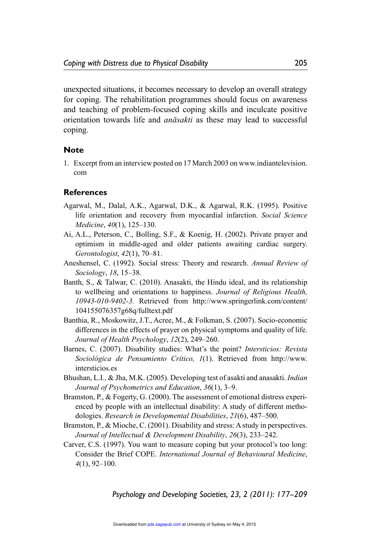unexpected situations, it becomes necessary to develop an overall strategy for coping. The rehabilitation programmes should focus on awareness and teaching of problem-focused coping skills and inculcate positive orientation towards life and *anāsakti* as these may lead to successful coping.

#### **Note**

1. Excerpt from an interview posted on 17 March 2003 on www.indiantelevision. com

#### **References**

- Agarwal, M., Dalal, A.K., Agarwal, D.K., & Agarwal, R.K. (1995). Positive life orientation and recovery from myocardial infarction. *Social Science Medicine*, *40*(1), 125–130.
- Ai, A.L., Peterson, C., Bolling, S.F., & Koenig, H. (2002). Private prayer and optimism in middle-aged and older patients awaiting cardiac surgery. *Gerontologist*, *42*(1), 70–81.
- Aneshensel, C. (1992). Social stress: Theory and research. *Annual Review of Sociology*, *18*, 15–38.
- Banth, S., & Talwar, C. (2010). Anasakti, the Hindu ideal, and its relationship to wellbeing and orientations to happiness. *Journal of Religious Health, 10943-010-9402-3.* Retrieved from http://www.springerlink.com/content/ 104155076357g68q/fulltext.pdf
- Banthia, R., Moskowitz, J.T., Acree, M., & Folkman, S. (2007). Socio-economic differences in the effects of prayer on physical symptoms and quality of life. *Journal of Health Psychology*, *12*(2), 249–260.
- Barnes, C. (2007). Disability studies: What's the point? *Intersticios: Revista Sociológica de Pensamiento Crítico, 1*(1). Retrieved from http://www. intersticios.es
- Bhushan, L.I., & Jha, M.K. (2005). Developing test of asakti and anasakti. *Indian Journal of Psychometrics and Education*, *36*(1), 3–9.
- Bramston, P., & Fogerty, G. (2000). The assessment of emotional distress experienced by people with an intellectual disability: A study of different methodologies. *Research in Developmental Disabilities*, *21*(6), 487–500.
- Bramston, P., & Mioche, C. (2001). Disability and stress: A study in perspectives. *Journal of Intellectual & Development Disability*, *26*(3), 233–242.
- Carver, C.S. (1997). You want to measure coping but your protocol's too long: Consider the Brief COPE. *International Journal of Behavioural Medicine*, *4*(1), 92–100.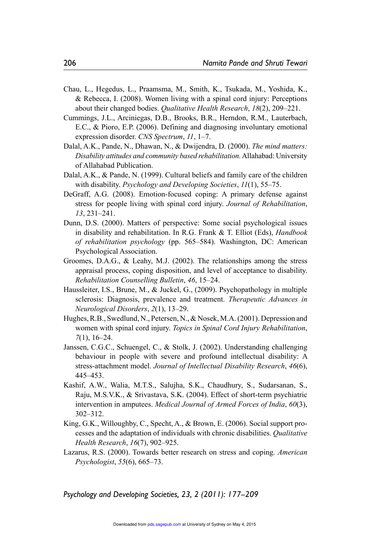- Chau, L., Hegedus, L., Praamsma, M., Smith, K., Tsukada, M., Yoshida, K., & Rebecca, I. (2008). Women living with a spinal cord injury: Perceptions about their changed bodies. *Qualitative Health Research*, *18*(2), 209–221.
- Cummings, J.L., Arciniegas, D.B., Brooks, B.R., Herndon, R.M., Lauterbach, E.C., & Pioro, E.P. (2006). Defining and diagnosing involuntary emotional expression disorder. *CNS Spectrum*, *11*, 1–7.
- Dalal, A.K., Pande, N., Dhawan, N., & Dwijendra, D. (2000). *The mind matters: Disability attitudes and community based rehabilitation.* Allahabad: University of Allahabad Publication.
- Dalal, A.K., & Pande, N. (1999). Cultural beliefs and family care of the children with disability. *Psychology and Developing Societies*, *11*(1), 55–75.
- DeGraff, A.G. (2008). Emotion-focused coping: A primary defense against stress for people living with spinal cord injury. *Journal of Rehabilitation*, *13*, 231–241.
- Dunn, D.S. (2000). Matters of perspective: Some social psychological issues in disability and rehabilitation. In R.G. Frank & T. Elliot (Eds), *Handbook of rehabilitation psychology* (pp. 565–584). Washington, DC: American Psychological Association.
- Groomes, D.A.G., & Leahy, M.J. (2002). The relationships among the stress appraisal process, coping disposition, and level of acceptance to disability. *Rehabilitation Counselling Bulletin*, *46*, 15–24.
- Haussleiter, I.S., Brune, M., & Juckel, G., (2009). Psychopathology in multiple sclerosis: Diagnosis, prevalence and treatment. *Therapeutic Advances in Neurological Disorders*, *2*(1), 13–29.
- Hughes, R.B., Swedlund, N., Petersen, N., & Nosek, M.A. (2001). Depression and women with spinal cord injury. *Topics in Spinal Cord Injury Rehabilitation*, *7*(1), 16–24.
- Janssen, C.G.C., Schuengel, C., & Stolk, J. (2002). Understanding challenging behaviour in people with severe and profound intellectual disability: A stress-attachment model. *Journal of Intellectual Disability Research*, *46*(6), 445–453.
- Kashif, A.W., Walia, M.T.S., Salujha, S.K., Chaudhury, S., Sudarsanan, S., Raju, M.S.V.K., & Srivastava, S.K. (2004). Effect of short-term psychiatric intervention in amputees. *Medical Journal of Armed Forces of India*, *60*(3), 302–312.
- King, G.K., Willoughby, C., Specht, A., & Brown, E. (2006). Social support processes and the adaptation of individuals with chronic disabilities. *Qualitative Health Research*, *16*(7), 902–925.
- Lazarus, R.S. (2000). Towards better research on stress and coping. *American Psychologist*, *55*(6), 665–73.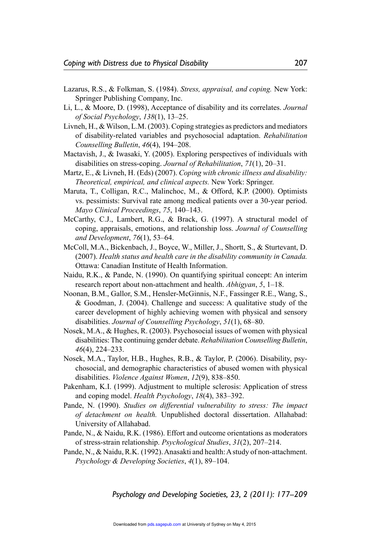- Lazarus, R.S., & Folkman, S. (1984). *Stress, appraisal, and coping.* New York: Springer Publishing Company, Inc.
- Li, L., & Moore, D. (1998), Acceptance of disability and its correlates. *Journal of Social Psychology*, *138*(1), 13–25.
- Livneh, H., & Wilson, L.M. (2003). Coping strategies as predictors and mediators of disability-related variables and psychosocial adaptation. *Rehabilitation Counselling Bulletin*, *46*(4), 194–208.
- Mactavish, J., & Iwasaki, Y. (2005). Exploring perspectives of individuals with disabilities on stress-coping. *Journal of Rehabilitation*, *71*(1), 20–31.
- Martz, E., & Livneh, H. (Eds) (2007). *Coping with chronic illness and disability: Theoretical, empirical, and clinical aspects.* New York: Springer.
- Maruta, T., Colligan, R.C., Malinchoc, M., & Offord, K.P. (2000). Optimists vs. pessimists: Survival rate among medical patients over a 30-year period. *Mayo Clinical Proceedings*, *75*, 140–143.
- McCarthy, C.J., Lambert, R.G., & Brack, G. (1997). A structural model of coping, appraisals, emotions, and relationship loss. *Journal of Counselling and Development*, *76*(1), 53–64.
- McColl, M.A., Bickenbach, J., Boyce, W., Miller, J., Shortt, S., & Sturtevant, D. (2007). *Health status and health care in the disability community in Canada.*  Ottawa: Canadian Institute of Health Information.
- Naidu, R.K., & Pande, N. (1990). On quantifying spiritual concept: An interim research report about non-attachment and health. *Abhigyan*, *5*, 1–18.
- Noonan, B.M., Gallor, S.M., Hensler-McGinnis, N.F., Fassinger R.E., Wang, S., & Goodman, J. (2004). Challenge and success: A qualitative study of the career development of highly achieving women with physical and sensory disabilities. *Journal of Counselling Psychology*, *51*(1), 68–80.
- Nosek, M.A., & Hughes, R. (2003). Psychosocial issues of women with physical disabilities: The continuing gender debate. *Rehabilitation Counselling Bulletin*, *46*(4), 224–233.
- Nosek, M.A., Taylor, H.B., Hughes, R.B., & Taylor, P. (2006). Disability, psychosocial, and demographic characteristics of abused women with physical disabilities. *Violence Against Women*, *12*(9), 838–850.
- Pakenham, K.I. (1999). Adjustment to multiple sclerosis: Application of stress and coping model. *Health Psychology*, *18*(4), 383–392.
- Pande, N. (1990). *Studies on differential vulnerability to stress: The impact of detachment on health.* Unpublished doctoral dissertation. Allahabad: University of Allahabad.
- Pande, N., & Naidu, R.K. (1986). Effort and outcome orientations as moderators of stress-strain relationship. *Psychological Studies*, *31*(2), 207–214.
- Pande, N., & Naidu, R.K. (1992). Anasakti and health: A study of non-attachment. *Psychology & Developing Societies*, *4*(1), 89–104.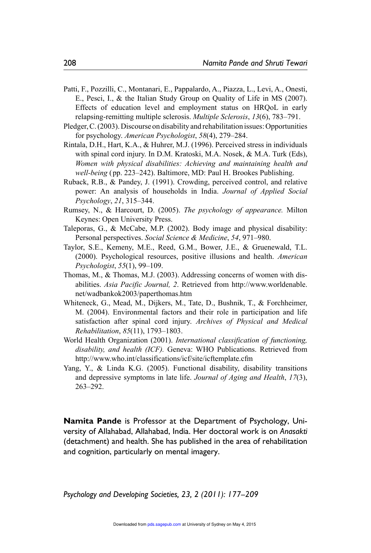- Patti, F., Pozzilli, C., Montanari, E., Pappalardo, A., Piazza, L., Levi, A., Onesti, E., Pesci, I., & the Italian Study Group on Quality of Life in MS (2007). Effects of education level and employment status on HRQoL in early relapsing-remitting multiple sclerosis. *Multiple Sclerosis*, *13*(6), 783–791.
- Pledger, C. (2003). Discourse on disability and rehabilitation issues: Opportunities for psychology. *American Psychologist*, *58*(4), 279–284.
- Rintala, D.H., Hart, K.A., & Huhrer, M.J. (1996). Perceived stress in individuals with spinal cord injury. In D.M. Kratoski, M.A. Nosek, & M.A. Turk (Eds), *Women with physical disabilities: Achieving and maintaining health and well-being* (pp. 223–242). Baltimore, MD: Paul H. Brookes Publishing.
- Ruback, R.B., & Pandey, J. (1991). Crowding, perceived control, and relative power: An analysis of households in India. *Journal of Applied Social Psychology*, *21*, 315–344.
- Rumsey, N., & Harcourt, D. (2005). *The psychology of appearance.* Milton Keynes: Open University Press.
- Taleporas, G., & McCabe, M.P. (2002). Body image and physical disability: Personal perspectives. *Social Science & Medicine*, *54*, 971–980.
- Taylor, S.E., Kemeny, M.E., Reed, G.M., Bower, J.E., & Gruenewald, T.L. (2000). Psychological resources, positive illusions and health. *American Psychologist*, *55*(1), 99–109.
- Thomas, M., & Thomas, M.J. (2003). Addressing concerns of women with disabilities. *Asia Pacific Journal, 2*. Retrieved from http://www.worldenable. net/wadbankok2003/paperthomas.htm
- Whiteneck, G., Mead, M., Dijkers, M., Tate, D., Bushnik, T., & Forchheimer, M. (2004). Environmental factors and their role in participation and life satisfaction after spinal cord injury. *Archives of Physical and Medical Rehabilitation*, *85*(11), 1793–1803.
- World Health Organization (2001). *International classification of functioning, disability, and health (ICF).* Geneva: WHO Publications. Retrieved from http://www.who.int/classifications/icf/site/icftemplate.cfm
- Yang, Y., & Linda K.G. (2005). Functional disability, disability transitions and depressive symptoms in late life. *Journal of Aging and Health*, *17*(3), 263–292.

**Namita Pande** is Professor at the Department of Psychology, University of Allahabad, Allahabad, India. Her doctoral work is on *Anasakti* (detachment) and health. She has published in the area of rehabilitation and cognition, particularly on mental imagery.